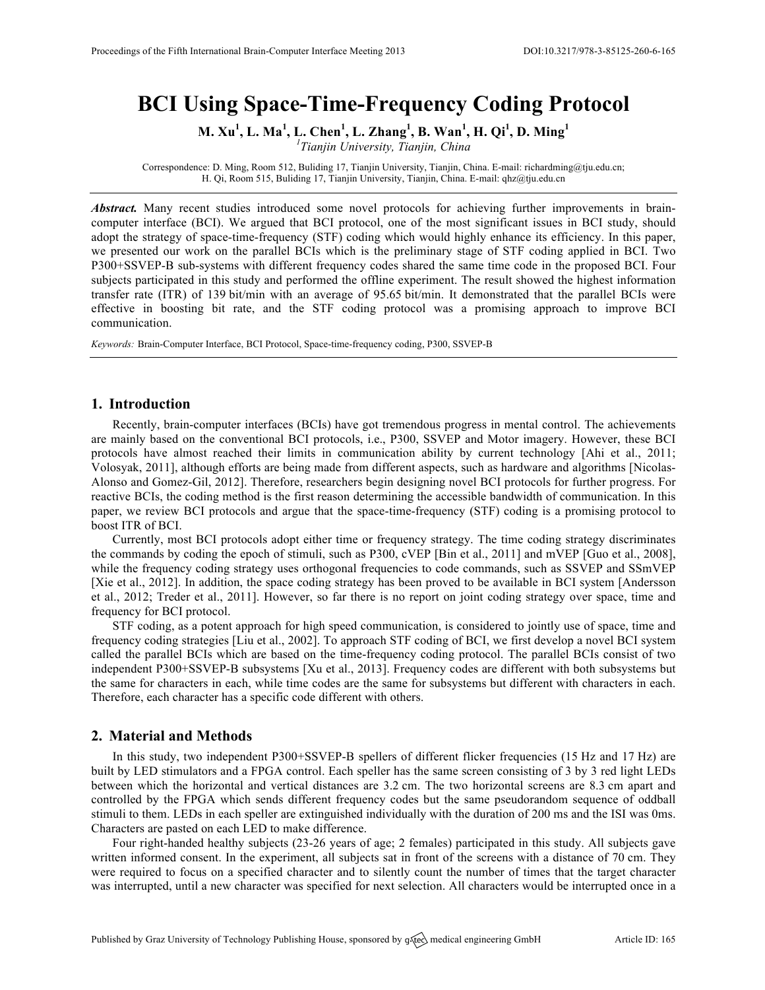# **BCI Using Space-Time-Frequency Coding Protocol**

**M. Xu<sup>1</sup> , L. Ma<sup>1</sup> , L. Chen<sup>1</sup> , L. Zhang<sup>1</sup> , B. Wan<sup>1</sup> , H. Qi<sup>1</sup> , D. Ming<sup>1</sup>**

*1 Tianjin University, Tianjin, China*

Correspondence: D. Ming, Room 512, Buliding 17, Tianjin University, Tianjin, China. E-mail: richardming@tju.edu.cn; H. Qi, Room 515, Buliding 17, Tianjin University, Tianjin, China. E-mail: qhz@tju.edu.cn

*Abstract.* Many recent studies introduced some novel protocols for achieving further improvements in braincomputer interface (BCI). We argued that BCI protocol, one of the most significant issues in BCI study, should adopt the strategy of space-time-frequency (STF) coding which would highly enhance its efficiency. In this paper, we presented our work on the parallel BCIs which is the preliminary stage of STF coding applied in BCI. Two P300+SSVEP-B sub-systems with different frequency codes shared the same time code in the proposed BCI. Four subjects participated in this study and performed the offline experiment. The result showed the highest information transfer rate (ITR) of 139 bit/min with an average of 95.65 bit/min. It demonstrated that the parallel BCIs were effective in boosting bit rate, and the STF coding protocol was a promising approach to improve BCI communication.

*Keywords:* Brain-Computer Interface, BCI Protocol, Space-time-frequency coding, P300, SSVEP-B

### **1. Introduction**

Recently, brain-computer interfaces (BCIs) have got tremendous progress in mental control. The achievements are mainly based on the conventional BCI protocols, i.e., P300, SSVEP and Motor imagery. However, these BCI protocols have almost reached their limits in communication ability by current technology [Ahi et al., 2011; Volosyak, 2011], although efforts are being made from different aspects, such as hardware and algorithms [Nicolas-Alonso and Gomez-Gil, 2012]. Therefore, researchers begin designing novel BCI protocols for further progress. For reactive BCIs, the coding method is the first reason determining the accessible bandwidth of communication. In this paper, we review BCI protocols and argue that the space-time-frequency (STF) coding is a promising protocol to boost ITR of BCI.

Currently, most BCI protocols adopt either time or frequency strategy. The time coding strategy discriminates the commands by coding the epoch of stimuli, such as P300, cVEP [Bin et al., 2011] and mVEP [Guo et al., 2008], while the frequency coding strategy uses orthogonal frequencies to code commands, such as SSVEP and SSmVEP [Xie et al., 2012]. In addition, the space coding strategy has been proved to be available in BCI system [Andersson et al., 2012; Treder et al., 2011]. However, so far there is no report on joint coding strategy over space, time and frequency for BCI protocol.

STF coding, as a potent approach for high speed communication, is considered to jointly use of space, time and frequency coding strategies [Liu et al., 2002]. To approach STF coding of BCI, we first develop a novel BCI system called the parallel BCIs which are based on the time-frequency coding protocol. The parallel BCIs consist of two independent P300+SSVEP-B subsystems [Xu et al., 2013]. Frequency codes are different with both subsystems but the same for characters in each, while time codes are the same for subsystems but different with characters in each. Therefore, each character has a specific code different with others.

## **2. Material and Methods**

In this study, two independent P300+SSVEP-B spellers of different flicker frequencies (15 Hz and 17 Hz) are built by LED stimulators and a FPGA control. Each speller has the same screen consisting of 3 by 3 red light LEDs between which the horizontal and vertical distances are 3.2 cm. The two horizontal screens are 8.3 cm apart and controlled by the FPGA which sends different frequency codes but the same pseudorandom sequence of oddball stimuli to them. LEDs in each speller are extinguished individually with the duration of 200 ms and the ISI was 0ms. Characters are pasted on each LED to make difference.

Four right-handed healthy subjects (23-26 years of age; 2 females) participated in this study. All subjects gave written informed consent. In the experiment, all subjects sat in front of the screens with a distance of 70 cm. They were required to focus on a specified character and to silently count the number of times that the target character was interrupted, until a new character was specified for next selection. All characters would be interrupted once in a